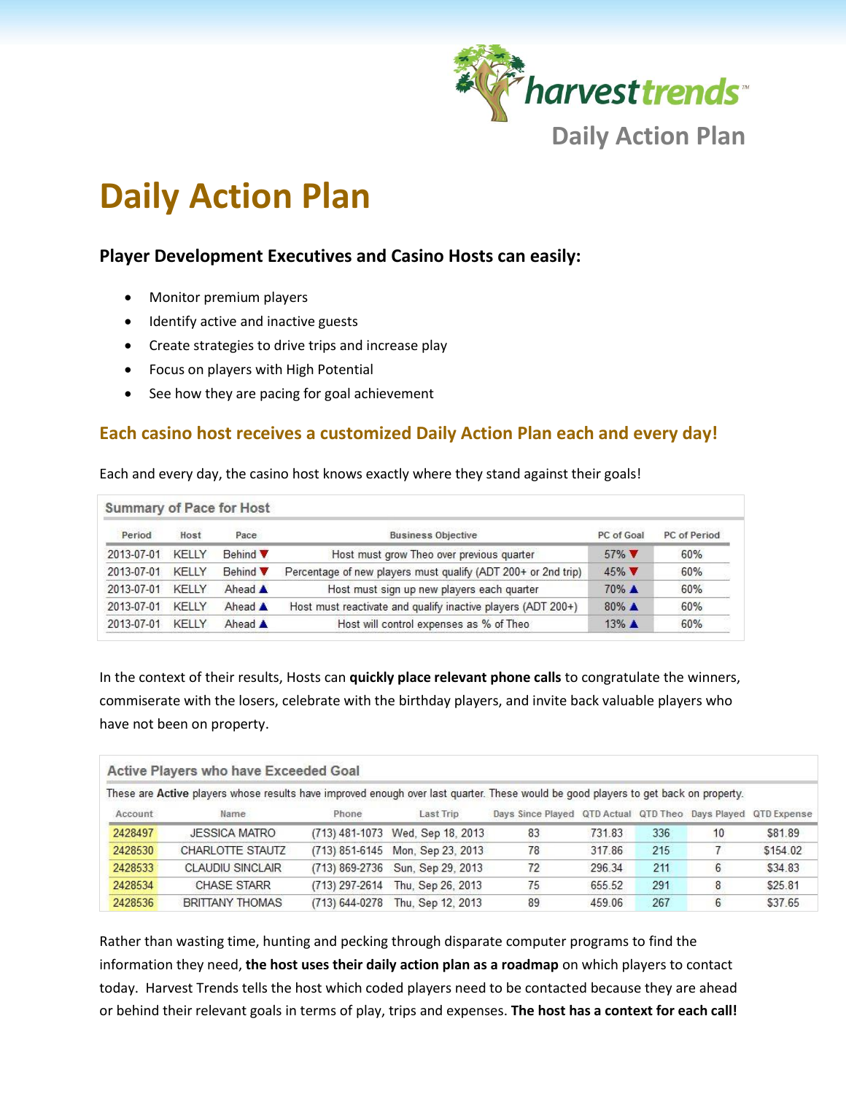

# **Daily Action Plan**

# **Player Development Executives and Casino Hosts can easily:**

- Monitor premium players
- Identify active and inactive guests
- Create strategies to drive trips and increase play
- Focus on players with High Potential
- See how they are pacing for goal achievement

# **Each casino host receives a customized Daily Action Plan each and every day!**

Each and every day, the casino host knows exactly where they stand against their goals!

| <b>Summary of Pace for Host</b> |       |                 |                                                               |                    |              |  |  |  |
|---------------------------------|-------|-----------------|---------------------------------------------------------------|--------------------|--------------|--|--|--|
| Period                          | Host  | Pace            | <b>Business Objective</b>                                     | PC of Goal         | PC of Period |  |  |  |
| 2013-07-01                      | KELLY | <b>Behind</b>   | Host must grow Theo over previous quarter                     | $57\%$             | 60%          |  |  |  |
| 2013-07-01                      | KELLY | Behind <b>V</b> | Percentage of new players must qualify (ADT 200+ or 2nd trip) | $45\%$             | 60%          |  |  |  |
| 2013-07-01                      | KFIIY | Ahead A         | Host must sign up new players each quarter                    | 70% ▲              | 60%          |  |  |  |
| 2013-07-01                      | KELLY | Ahead A         | Host must reactivate and qualify inactive players (ADT 200+)  | $80\%$ $\triangle$ | 60%          |  |  |  |
| 2013-07-01                      | KFIIY | Ahead A         | Host will control expenses as % of Theo                       | $13\%$ $\triangle$ | 60%          |  |  |  |

In the context of their results, Hosts can **quickly place relevant phone calls** to congratulate the winners, commiserate with the losers, celebrate with the birthday players, and invite back valuable players who have not been on property.

| Active Players who have Exceeded Goal |                                                                                                                                     |                    |                                  |                                                               |        |     |    |          |  |  |
|---------------------------------------|-------------------------------------------------------------------------------------------------------------------------------------|--------------------|----------------------------------|---------------------------------------------------------------|--------|-----|----|----------|--|--|
|                                       | These are Active players whose results have improved enough over last quarter. These would be good players to get back on property. |                    |                                  |                                                               |        |     |    |          |  |  |
| Account                               | Name                                                                                                                                | Phone              | Last Trip                        | Days Since Played QTD Actual QTD Theo Days Played QTD Expense |        |     |    |          |  |  |
| 2428497                               | <b>JESSICA MATRO</b>                                                                                                                |                    | (713) 481-1073 Wed, Sep 18, 2013 | 83                                                            | 731.83 | 336 | 10 | \$81.89  |  |  |
| 2428530                               | CHARLOTTE STAUTZ                                                                                                                    |                    | (713) 851-6145 Mon, Sep 23, 2013 | 78                                                            | 317.86 | 215 |    | \$154.02 |  |  |
| 2428533                               | <b>CLAUDIU SINCLAIR</b>                                                                                                             | $(713) 869 - 2736$ | Sun, Sep 29, 2013                | 72                                                            | 296.34 | 211 | 6  | \$34.83  |  |  |
| 2428534                               | <b>CHASE STARR</b>                                                                                                                  | (713) 297-2614     | Thu. Sep 26, 2013                | 75                                                            | 655.52 | 291 | 8  | \$25.81  |  |  |
| 2428536                               | <b>BRITTANY THOMAS</b>                                                                                                              | (713) 644-0278     | Thu, Sep 12, 2013                | 89                                                            | 459.06 | 267 | 6  | \$37.65  |  |  |

Rather than wasting time, hunting and pecking through disparate computer programs to find the information they need, **the host uses their daily action plan as a roadmap** on which players to contact today. Harvest Trends tells the host which coded players need to be contacted because they are ahead or behind their relevant goals in terms of play, trips and expenses. **The host has a context for each call!**